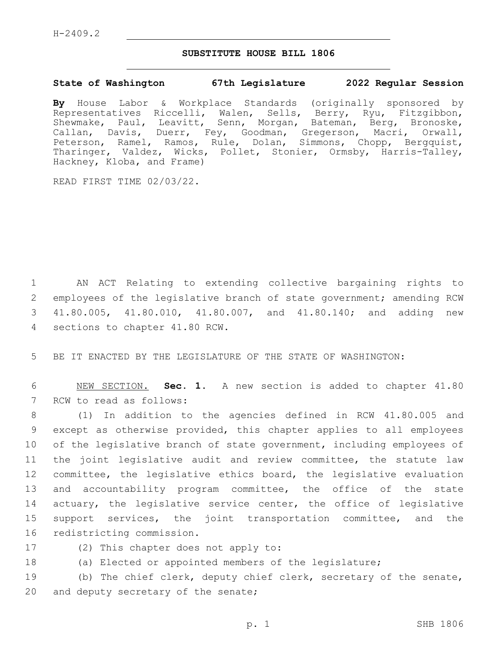## **SUBSTITUTE HOUSE BILL 1806**

## **State of Washington 67th Legislature 2022 Regular Session**

**By** House Labor & Workplace Standards (originally sponsored by Representatives Riccelli, Walen, Sells, Berry, Ryu, Fitzgibbon, Shewmake, Paul, Leavitt, Senn, Morgan, Bateman, Berg, Bronoske, Callan, Davis, Duerr, Fey, Goodman, Gregerson, Macri, Orwall, Peterson, Ramel, Ramos, Rule, Dolan, Simmons, Chopp, Bergquist, Tharinger, Valdez, Wicks, Pollet, Stonier, Ormsby, Harris-Talley, Hackney, Kloba, and Frame)

READ FIRST TIME 02/03/22.

 AN ACT Relating to extending collective bargaining rights to employees of the legislative branch of state government; amending RCW 41.80.005, 41.80.010, 41.80.007, and 41.80.140; and adding new 4 sections to chapter 41.80 RCW.

5 BE IT ENACTED BY THE LEGISLATURE OF THE STATE OF WASHINGTON:

6 NEW SECTION. **Sec. 1.** A new section is added to chapter 41.80 7 RCW to read as follows:

 (1) In addition to the agencies defined in RCW 41.80.005 and except as otherwise provided, this chapter applies to all employees of the legislative branch of state government, including employees of the joint legislative audit and review committee, the statute law committee, the legislative ethics board, the legislative evaluation and accountability program committee, the office of the state 14 actuary, the legislative service center, the office of legislative support services, the joint transportation committee, and the 16 redistricting commission.

- 
- 17 (2) This chapter does not apply to:
- 18 (a) Elected or appointed members of the legislature;

19 (b) The chief clerk, deputy chief clerk, secretary of the senate, 20 and deputy secretary of the senate;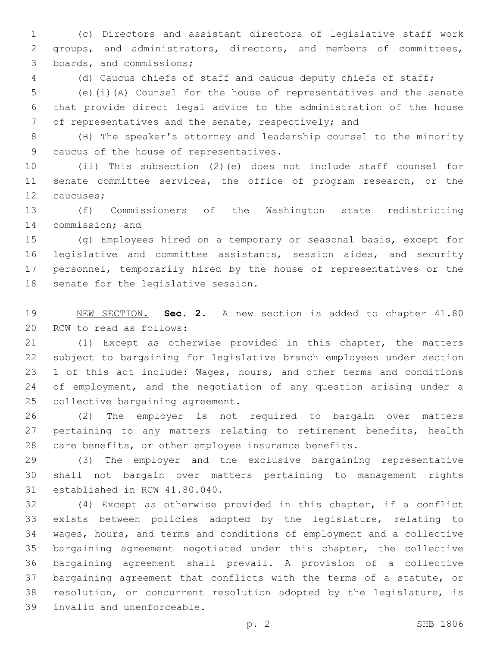(c) Directors and assistant directors of legislative staff work groups, and administrators, directors, and members of committees, 3 boards, and commissions;

(d) Caucus chiefs of staff and caucus deputy chiefs of staff;

 (e)(i)(A) Counsel for the house of representatives and the senate that provide direct legal advice to the administration of the house of representatives and the senate, respectively; and

 (B) The speaker's attorney and leadership counsel to the minority 9 caucus of the house of representatives.

 (ii) This subsection (2)(e) does not include staff counsel for 11 senate committee services, the office of program research, or the 12 caucuses;

 (f) Commissioners of the Washington state redistricting 14 commission; and

 (g) Employees hired on a temporary or seasonal basis, except for legislative and committee assistants, session aides, and security personnel, temporarily hired by the house of representatives or the 18 senate for the legislative session.

 NEW SECTION. **Sec. 2.** A new section is added to chapter 41.80 20 RCW to read as follows:

 (1) Except as otherwise provided in this chapter, the matters subject to bargaining for legislative branch employees under section 23 1 of this act include: Wages, hours, and other terms and conditions 24 of employment, and the negotiation of any question arising under a 25 collective bargaining agreement.

 (2) The employer is not required to bargain over matters 27 pertaining to any matters relating to retirement benefits, health care benefits, or other employee insurance benefits.

 (3) The employer and the exclusive bargaining representative shall not bargain over matters pertaining to management rights 31 established in RCW 41.80.040.

 (4) Except as otherwise provided in this chapter, if a conflict exists between policies adopted by the legislature, relating to wages, hours, and terms and conditions of employment and a collective bargaining agreement negotiated under this chapter, the collective bargaining agreement shall prevail. A provision of a collective bargaining agreement that conflicts with the terms of a statute, or resolution, or concurrent resolution adopted by the legislature, is 39 invalid and unenforceable.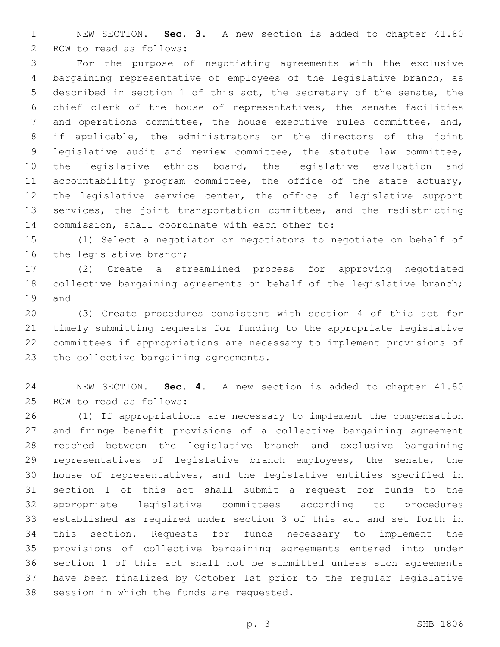NEW SECTION. **Sec. 3.** A new section is added to chapter 41.80 2 RCW to read as follows:

 For the purpose of negotiating agreements with the exclusive bargaining representative of employees of the legislative branch, as described in section 1 of this act, the secretary of the senate, the chief clerk of the house of representatives, the senate facilities and operations committee, the house executive rules committee, and, if applicable, the administrators or the directors of the joint legislative audit and review committee, the statute law committee, the legislative ethics board, the legislative evaluation and 11 accountability program committee, the office of the state actuary, the legislative service center, the office of legislative support services, the joint transportation committee, and the redistricting 14 commission, shall coordinate with each other to:

 (1) Select a negotiator or negotiators to negotiate on behalf of 16 the legislative branch;

 (2) Create a streamlined process for approving negotiated collective bargaining agreements on behalf of the legislative branch; 19 and

 (3) Create procedures consistent with section 4 of this act for timely submitting requests for funding to the appropriate legislative committees if appropriations are necessary to implement provisions of 23 the collective bargaining agreements.

 NEW SECTION. **Sec. 4.** A new section is added to chapter 41.80 25 RCW to read as follows:

 (1) If appropriations are necessary to implement the compensation and fringe benefit provisions of a collective bargaining agreement reached between the legislative branch and exclusive bargaining 29 representatives of legislative branch employees, the senate, the house of representatives, and the legislative entities specified in section 1 of this act shall submit a request for funds to the appropriate legislative committees according to procedures established as required under section 3 of this act and set forth in this section. Requests for funds necessary to implement the provisions of collective bargaining agreements entered into under section 1 of this act shall not be submitted unless such agreements have been finalized by October 1st prior to the regular legislative 38 session in which the funds are requested.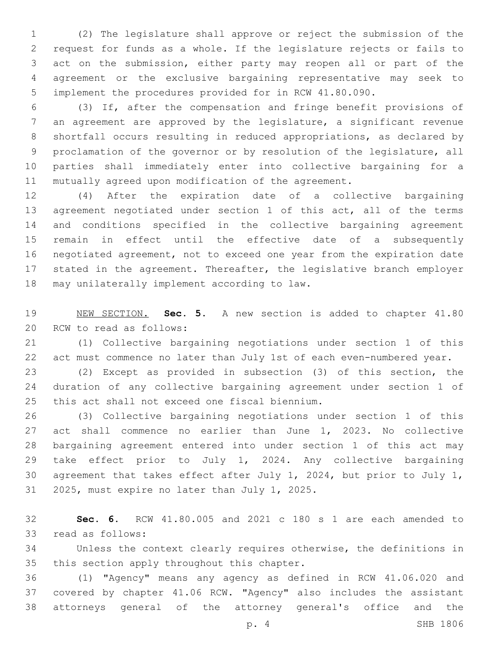(2) The legislature shall approve or reject the submission of the request for funds as a whole. If the legislature rejects or fails to act on the submission, either party may reopen all or part of the agreement or the exclusive bargaining representative may seek to implement the procedures provided for in RCW 41.80.090.

 (3) If, after the compensation and fringe benefit provisions of an agreement are approved by the legislature, a significant revenue shortfall occurs resulting in reduced appropriations, as declared by proclamation of the governor or by resolution of the legislature, all parties shall immediately enter into collective bargaining for a mutually agreed upon modification of the agreement.

 (4) After the expiration date of a collective bargaining agreement negotiated under section 1 of this act, all of the terms and conditions specified in the collective bargaining agreement remain in effect until the effective date of a subsequently negotiated agreement, not to exceed one year from the expiration date stated in the agreement. Thereafter, the legislative branch employer 18 may unilaterally implement according to law.

 NEW SECTION. **Sec. 5.** A new section is added to chapter 41.80 20 RCW to read as follows:

 (1) Collective bargaining negotiations under section 1 of this act must commence no later than July 1st of each even-numbered year.

 (2) Except as provided in subsection (3) of this section, the duration of any collective bargaining agreement under section 1 of 25 this act shall not exceed one fiscal biennium.

 (3) Collective bargaining negotiations under section 1 of this act shall commence no earlier than June 1, 2023. No collective bargaining agreement entered into under section 1 of this act may take effect prior to July 1, 2024. Any collective bargaining agreement that takes effect after July 1, 2024, but prior to July 1, 31 2025, must expire no later than July 1, 2025.

 **Sec. 6.** RCW 41.80.005 and 2021 c 180 s 1 are each amended to 33 read as follows:

 Unless the context clearly requires otherwise, the definitions in 35 this section apply throughout this chapter.

 (1) "Agency" means any agency as defined in RCW 41.06.020 and covered by chapter 41.06 RCW. "Agency" also includes the assistant attorneys general of the attorney general's office and the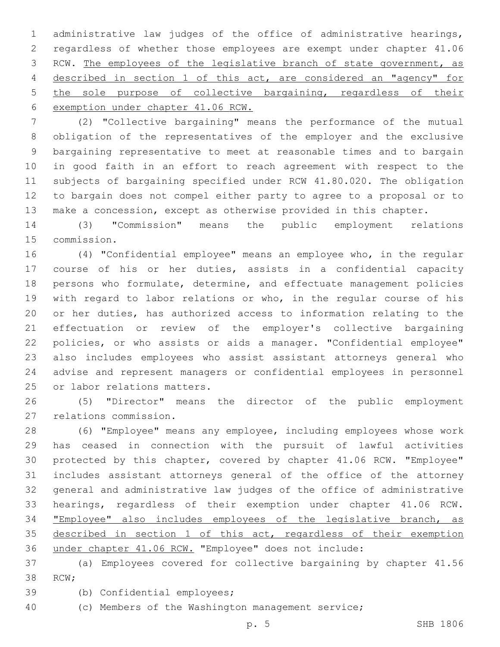administrative law judges of the office of administrative hearings, regardless of whether those employees are exempt under chapter 41.06 RCW. The employees of the legislative branch of state government, as described in section 1 of this act, are considered an "agency" for the sole purpose of collective bargaining, regardless of their exemption under chapter 41.06 RCW.

 (2) "Collective bargaining" means the performance of the mutual obligation of the representatives of the employer and the exclusive bargaining representative to meet at reasonable times and to bargain in good faith in an effort to reach agreement with respect to the subjects of bargaining specified under RCW 41.80.020. The obligation to bargain does not compel either party to agree to a proposal or to make a concession, except as otherwise provided in this chapter.

 (3) "Commission" means the public employment relations 15 commission.

 (4) "Confidential employee" means an employee who, in the regular course of his or her duties, assists in a confidential capacity persons who formulate, determine, and effectuate management policies with regard to labor relations or who, in the regular course of his or her duties, has authorized access to information relating to the effectuation or review of the employer's collective bargaining policies, or who assists or aids a manager. "Confidential employee" also includes employees who assist assistant attorneys general who advise and represent managers or confidential employees in personnel 25 or labor relations matters.

 (5) "Director" means the director of the public employment 27 relations commission.

 (6) "Employee" means any employee, including employees whose work has ceased in connection with the pursuit of lawful activities protected by this chapter, covered by chapter 41.06 RCW. "Employee" includes assistant attorneys general of the office of the attorney general and administrative law judges of the office of administrative hearings, regardless of their exemption under chapter 41.06 RCW. "Employee" also includes employees of the legislative branch, as 35 described in section 1 of this act, regardless of their exemption under chapter 41.06 RCW. "Employee" does not include:

 (a) Employees covered for collective bargaining by chapter 41.56 38 RCW;

39 (b) Confidential employees;

(c) Members of the Washington management service;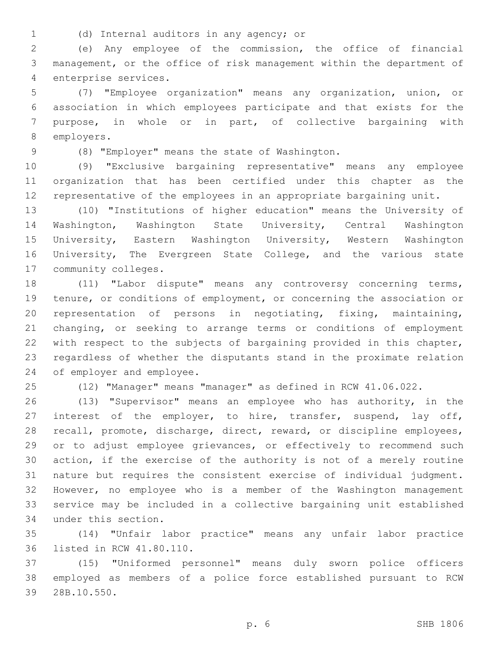(d) Internal auditors in any agency; or1

 (e) Any employee of the commission, the office of financial management, or the office of risk management within the department of 4 enterprise services.

 (7) "Employee organization" means any organization, union, or association in which employees participate and that exists for the purpose, in whole or in part, of collective bargaining with 8 employers.

(8) "Employer" means the state of Washington.9

 (9) "Exclusive bargaining representative" means any employee organization that has been certified under this chapter as the representative of the employees in an appropriate bargaining unit.

 (10) "Institutions of higher education" means the University of Washington, Washington State University, Central Washington University, Eastern Washington University, Western Washington University, The Evergreen State College, and the various state 17 community colleges.

 (11) "Labor dispute" means any controversy concerning terms, tenure, or conditions of employment, or concerning the association or representation of persons in negotiating, fixing, maintaining, changing, or seeking to arrange terms or conditions of employment with respect to the subjects of bargaining provided in this chapter, regardless of whether the disputants stand in the proximate relation 24 of employer and employee.

(12) "Manager" means "manager" as defined in RCW 41.06.022.

 (13) "Supervisor" means an employee who has authority, in the 27 interest of the employer, to hire, transfer, suspend, lay off, recall, promote, discharge, direct, reward, or discipline employees, or to adjust employee grievances, or effectively to recommend such action, if the exercise of the authority is not of a merely routine nature but requires the consistent exercise of individual judgment. However, no employee who is a member of the Washington management service may be included in a collective bargaining unit established 34 under this section.

 (14) "Unfair labor practice" means any unfair labor practice 36 listed in RCW 41.80.110.

 (15) "Uniformed personnel" means duly sworn police officers employed as members of a police force established pursuant to RCW 28B.10.550.39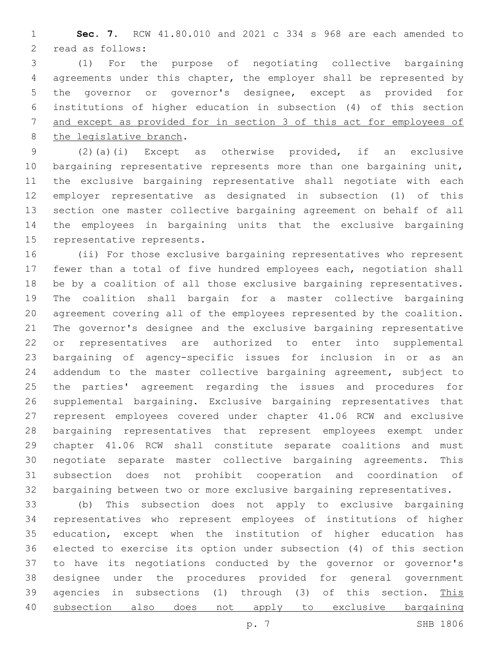**Sec. 7.** RCW 41.80.010 and 2021 c 334 s 968 are each amended to 2 read as follows:

 (1) For the purpose of negotiating collective bargaining agreements under this chapter, the employer shall be represented by the governor or governor's designee, except as provided for institutions of higher education in subsection (4) of this section and except as provided for in section 3 of this act for employees of 8 the legislative branch.

 (2)(a)(i) Except as otherwise provided, if an exclusive 10 bargaining representative represents more than one bargaining unit, the exclusive bargaining representative shall negotiate with each employer representative as designated in subsection (1) of this section one master collective bargaining agreement on behalf of all the employees in bargaining units that the exclusive bargaining 15 representative represents.

 (ii) For those exclusive bargaining representatives who represent fewer than a total of five hundred employees each, negotiation shall be by a coalition of all those exclusive bargaining representatives. The coalition shall bargain for a master collective bargaining agreement covering all of the employees represented by the coalition. The governor's designee and the exclusive bargaining representative or representatives are authorized to enter into supplemental bargaining of agency-specific issues for inclusion in or as an addendum to the master collective bargaining agreement, subject to the parties' agreement regarding the issues and procedures for supplemental bargaining. Exclusive bargaining representatives that represent employees covered under chapter 41.06 RCW and exclusive bargaining representatives that represent employees exempt under chapter 41.06 RCW shall constitute separate coalitions and must negotiate separate master collective bargaining agreements. This subsection does not prohibit cooperation and coordination of bargaining between two or more exclusive bargaining representatives.

 (b) This subsection does not apply to exclusive bargaining representatives who represent employees of institutions of higher education, except when the institution of higher education has elected to exercise its option under subsection (4) of this section to have its negotiations conducted by the governor or governor's designee under the procedures provided for general government agencies in subsections (1) through (3) of this section. This subsection also does not apply to exclusive bargaining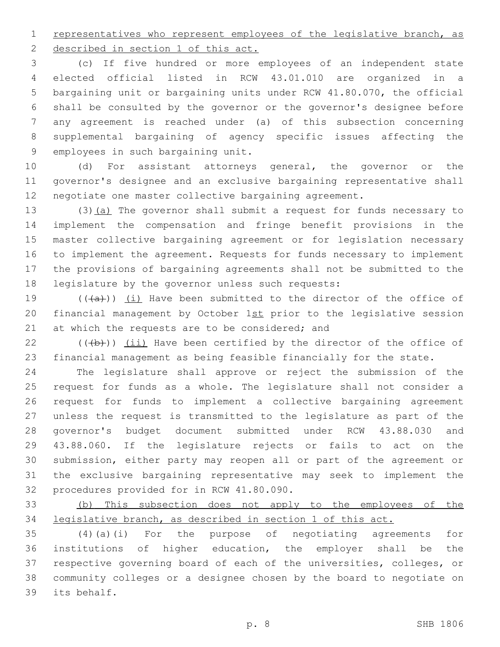1 representatives who represent employees of the legislative branch, as

2 described in section 1 of this act.

 (c) If five hundred or more employees of an independent state elected official listed in RCW 43.01.010 are organized in a bargaining unit or bargaining units under RCW 41.80.070, the official shall be consulted by the governor or the governor's designee before any agreement is reached under (a) of this subsection concerning supplemental bargaining of agency specific issues affecting the 9 employees in such bargaining unit.

 (d) For assistant attorneys general, the governor or the governor's designee and an exclusive bargaining representative shall negotiate one master collective bargaining agreement.

13 (3)(a) The governor shall submit a request for funds necessary to implement the compensation and fringe benefit provisions in the master collective bargaining agreement or for legislation necessary to implement the agreement. Requests for funds necessary to implement the provisions of bargaining agreements shall not be submitted to the 18 legislature by the governor unless such requests:

19  $((+a))$   $(i)$  Have been submitted to the director of the office of 20 financial management by October 1st prior to the legislative session 21 at which the requests are to be considered; and

 $(22)$  (( $(b)+$ )) (ii) Have been certified by the director of the office of financial management as being feasible financially for the state.

 The legislature shall approve or reject the submission of the request for funds as a whole. The legislature shall not consider a request for funds to implement a collective bargaining agreement unless the request is transmitted to the legislature as part of the governor's budget document submitted under RCW 43.88.030 and 43.88.060. If the legislature rejects or fails to act on the submission, either party may reopen all or part of the agreement or the exclusive bargaining representative may seek to implement the 32 procedures provided for in RCW 41.80.090.

 (b) This subsection does not apply to the employees of the legislative branch, as described in section 1 of this act.

 (4)(a)(i) For the purpose of negotiating agreements for institutions of higher education, the employer shall be the respective governing board of each of the universities, colleges, or community colleges or a designee chosen by the board to negotiate on 39 its behalf.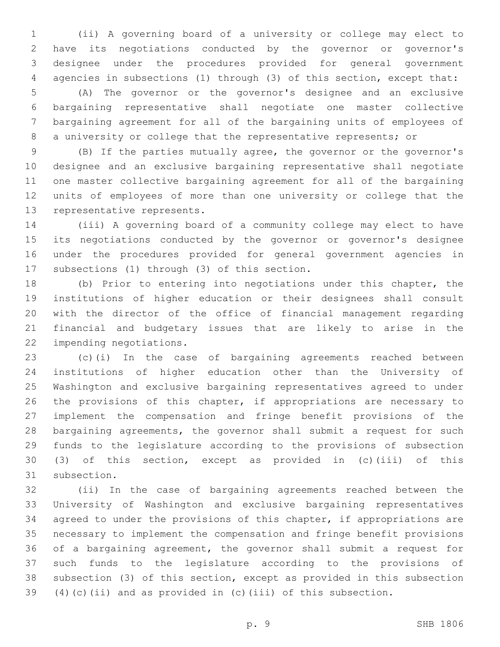(ii) A governing board of a university or college may elect to have its negotiations conducted by the governor or governor's designee under the procedures provided for general government agencies in subsections (1) through (3) of this section, except that:

 (A) The governor or the governor's designee and an exclusive bargaining representative shall negotiate one master collective bargaining agreement for all of the bargaining units of employees of a university or college that the representative represents; or

 (B) If the parties mutually agree, the governor or the governor's designee and an exclusive bargaining representative shall negotiate one master collective bargaining agreement for all of the bargaining units of employees of more than one university or college that the 13 representative represents.

 (iii) A governing board of a community college may elect to have its negotiations conducted by the governor or governor's designee under the procedures provided for general government agencies in 17 subsections (1) through (3) of this section.

 (b) Prior to entering into negotiations under this chapter, the institutions of higher education or their designees shall consult with the director of the office of financial management regarding financial and budgetary issues that are likely to arise in the 22 impending negotiations.

 (c)(i) In the case of bargaining agreements reached between institutions of higher education other than the University of Washington and exclusive bargaining representatives agreed to under the provisions of this chapter, if appropriations are necessary to implement the compensation and fringe benefit provisions of the bargaining agreements, the governor shall submit a request for such funds to the legislature according to the provisions of subsection (3) of this section, except as provided in (c)(iii) of this 31 subsection.

 (ii) In the case of bargaining agreements reached between the University of Washington and exclusive bargaining representatives agreed to under the provisions of this chapter, if appropriations are necessary to implement the compensation and fringe benefit provisions of a bargaining agreement, the governor shall submit a request for such funds to the legislature according to the provisions of subsection (3) of this section, except as provided in this subsection (4)(c)(ii) and as provided in (c)(iii) of this subsection.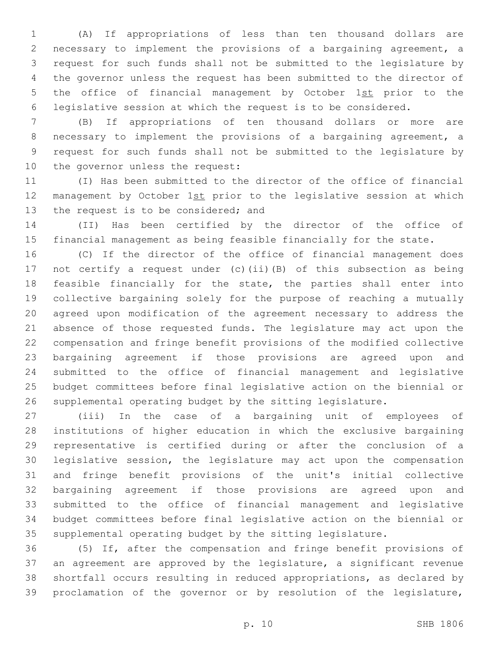(A) If appropriations of less than ten thousand dollars are necessary to implement the provisions of a bargaining agreement, a request for such funds shall not be submitted to the legislature by the governor unless the request has been submitted to the director of 5 the office of financial management by October 1st prior to the legislative session at which the request is to be considered.

 (B) If appropriations of ten thousand dollars or more are necessary to implement the provisions of a bargaining agreement, a request for such funds shall not be submitted to the legislature by 10 the governor unless the request:

 (I) Has been submitted to the director of the office of financial 12 management by October 1st prior to the legislative session at which 13 the request is to be considered; and

 (II) Has been certified by the director of the office of financial management as being feasible financially for the state.

 (C) If the director of the office of financial management does not certify a request under (c)(ii)(B) of this subsection as being 18 feasible financially for the state, the parties shall enter into collective bargaining solely for the purpose of reaching a mutually agreed upon modification of the agreement necessary to address the absence of those requested funds. The legislature may act upon the compensation and fringe benefit provisions of the modified collective bargaining agreement if those provisions are agreed upon and submitted to the office of financial management and legislative budget committees before final legislative action on the biennial or supplemental operating budget by the sitting legislature.

 (iii) In the case of a bargaining unit of employees of institutions of higher education in which the exclusive bargaining representative is certified during or after the conclusion of a legislative session, the legislature may act upon the compensation and fringe benefit provisions of the unit's initial collective bargaining agreement if those provisions are agreed upon and submitted to the office of financial management and legislative budget committees before final legislative action on the biennial or supplemental operating budget by the sitting legislature.

 (5) If, after the compensation and fringe benefit provisions of an agreement are approved by the legislature, a significant revenue shortfall occurs resulting in reduced appropriations, as declared by proclamation of the governor or by resolution of the legislature,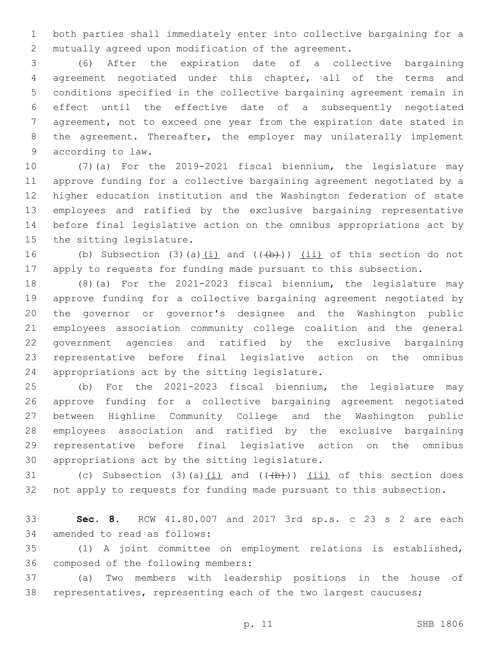both parties shall immediately enter into collective bargaining for a mutually agreed upon modification of the agreement.

 (6) After the expiration date of a collective bargaining agreement negotiated under this chapter, all of the terms and conditions specified in the collective bargaining agreement remain in effect until the effective date of a subsequently negotiated agreement, not to exceed one year from the expiration date stated in 8 the agreement. Thereafter, the employer may unilaterally implement 9 according to law.

 (7)(a) For the 2019-2021 fiscal biennium, the legislature may approve funding for a collective bargaining agreement negotiated by a higher education institution and the Washington federation of state employees and ratified by the exclusive bargaining representative before final legislative action on the omnibus appropriations act by 15 the sitting legislature.

16 (b) Subsection (3)(a) $(i)$  and  $((+b))$   $(i)$  of this section do not apply to requests for funding made pursuant to this subsection.

 (8)(a) For the 2021-2023 fiscal biennium, the legislature may approve funding for a collective bargaining agreement negotiated by the governor or governor's designee and the Washington public employees association community college coalition and the general government agencies and ratified by the exclusive bargaining representative before final legislative action on the omnibus 24 appropriations act by the sitting legislature.

 (b) For the 2021-2023 fiscal biennium, the legislature may approve funding for a collective bargaining agreement negotiated between Highline Community College and the Washington public employees association and ratified by the exclusive bargaining representative before final legislative action on the omnibus 30 appropriations act by the sitting legislature.

31 (c) Subsection (3)(a) $(i)$  and  $((+b))$   $(ii)$  of this section does not apply to requests for funding made pursuant to this subsection.

 **Sec. 8.** RCW 41.80.007 and 2017 3rd sp.s. c 23 s 2 are each 34 amended to read as follows:

 (1) A joint committee on employment relations is established, 36 composed of the following members:

 (a) Two members with leadership positions in the house of representatives, representing each of the two largest caucuses;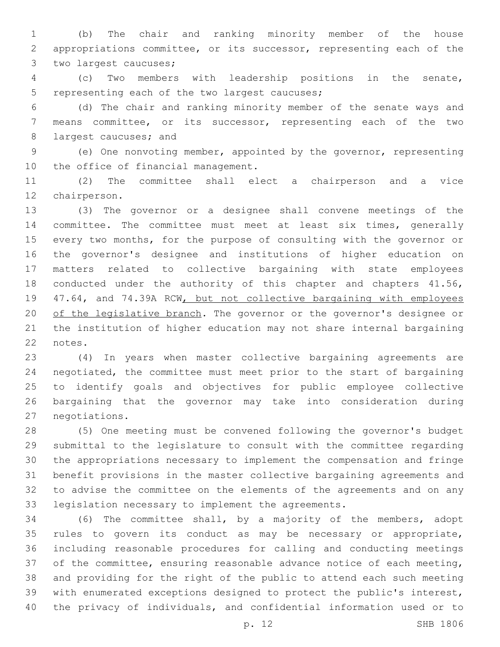(b) The chair and ranking minority member of the house appropriations committee, or its successor, representing each of the 3 two largest caucuses;

 (c) Two members with leadership positions in the senate, 5 representing each of the two largest caucuses;

 (d) The chair and ranking minority member of the senate ways and means committee, or its successor, representing each of the two 8 largest caucuses; and

 (e) One nonvoting member, appointed by the governor, representing 10 the office of financial management.

 (2) The committee shall elect a chairperson and a vice 12 chairperson.

 (3) The governor or a designee shall convene meetings of the 14 committee. The committee must meet at least six times, generally every two months, for the purpose of consulting with the governor or the governor's designee and institutions of higher education on matters related to collective bargaining with state employees 18 conducted under the authority of this chapter and chapters 41.56, 19 47.64, and 74.39A RCW, but not collective bargaining with employees 20 of the legislative branch. The governor or the governor's designee or the institution of higher education may not share internal bargaining 22 notes.

 (4) In years when master collective bargaining agreements are negotiated, the committee must meet prior to the start of bargaining to identify goals and objectives for public employee collective bargaining that the governor may take into consideration during 27 negotiations.

 (5) One meeting must be convened following the governor's budget submittal to the legislature to consult with the committee regarding the appropriations necessary to implement the compensation and fringe benefit provisions in the master collective bargaining agreements and to advise the committee on the elements of the agreements and on any legislation necessary to implement the agreements.

 (6) The committee shall, by a majority of the members, adopt rules to govern its conduct as may be necessary or appropriate, including reasonable procedures for calling and conducting meetings of the committee, ensuring reasonable advance notice of each meeting, and providing for the right of the public to attend each such meeting with enumerated exceptions designed to protect the public's interest, the privacy of individuals, and confidential information used or to

p. 12 SHB 1806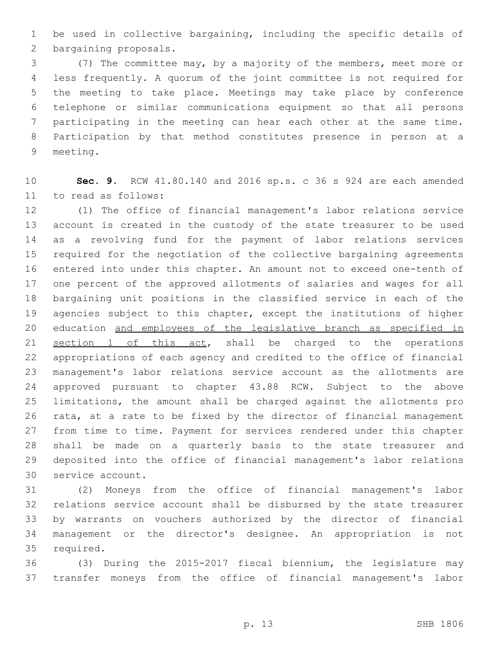be used in collective bargaining, including the specific details of 2 bargaining proposals.

 (7) The committee may, by a majority of the members, meet more or less frequently. A quorum of the joint committee is not required for the meeting to take place. Meetings may take place by conference telephone or similar communications equipment so that all persons participating in the meeting can hear each other at the same time. Participation by that method constitutes presence in person at a 9 meeting.

 **Sec. 9.** RCW 41.80.140 and 2016 sp.s. c 36 s 924 are each amended 11 to read as follows:

 (1) The office of financial management's labor relations service account is created in the custody of the state treasurer to be used as a revolving fund for the payment of labor relations services required for the negotiation of the collective bargaining agreements entered into under this chapter. An amount not to exceed one-tenth of one percent of the approved allotments of salaries and wages for all bargaining unit positions in the classified service in each of the agencies subject to this chapter, except the institutions of higher 20 education and employees of the legislative branch as specified in section 1 of this act, shall be charged to the operations appropriations of each agency and credited to the office of financial management's labor relations service account as the allotments are approved pursuant to chapter 43.88 RCW. Subject to the above limitations, the amount shall be charged against the allotments pro rata, at a rate to be fixed by the director of financial management from time to time. Payment for services rendered under this chapter shall be made on a quarterly basis to the state treasurer and deposited into the office of financial management's labor relations 30 service account.

 (2) Moneys from the office of financial management's labor relations service account shall be disbursed by the state treasurer by warrants on vouchers authorized by the director of financial management or the director's designee. An appropriation is not 35 required.

 (3) During the 2015-2017 fiscal biennium, the legislature may transfer moneys from the office of financial management's labor